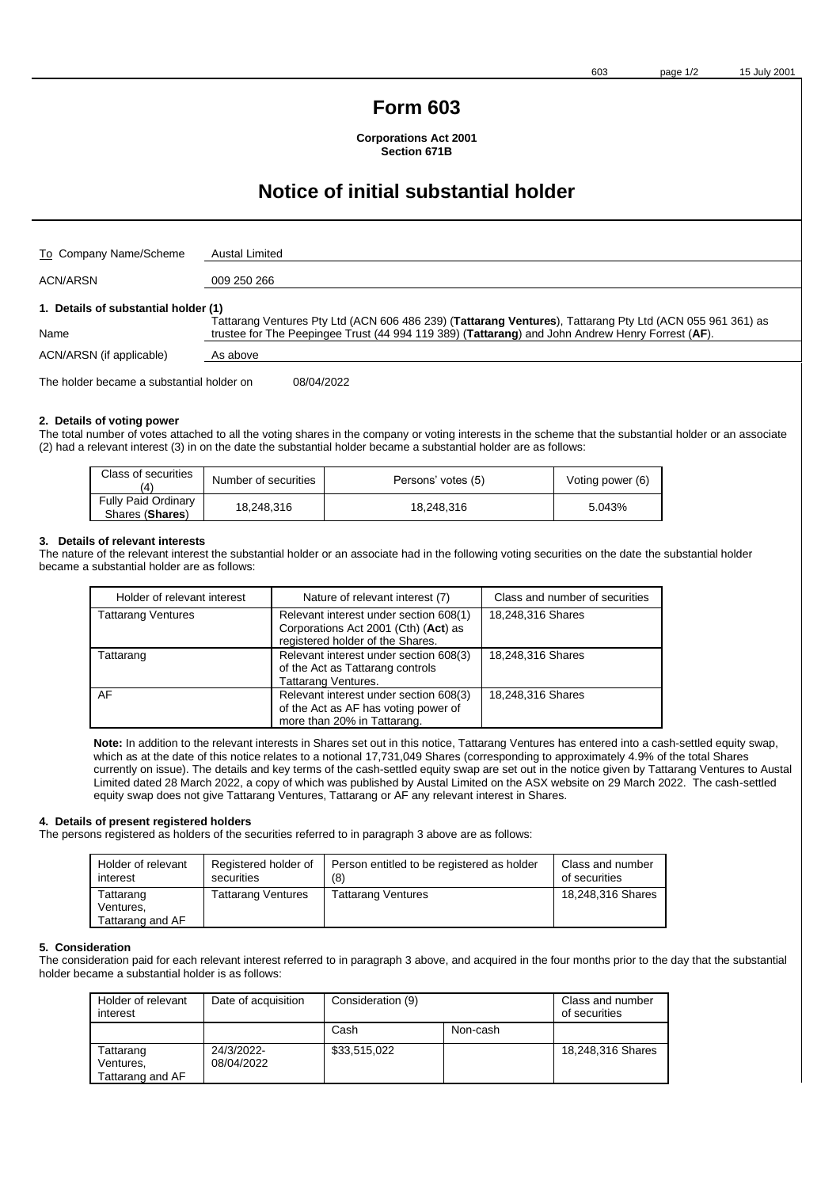# **Form 603**

**Corporations Act 2001 Section 671B**

# **Notice of initial substantial holder**

| To Company Name/Scheme                       | Austal Limited                                                                                                                                                                                                |
|----------------------------------------------|---------------------------------------------------------------------------------------------------------------------------------------------------------------------------------------------------------------|
| <b>ACN/ARSN</b>                              | 009 250 266                                                                                                                                                                                                   |
| 1. Details of substantial holder (1)<br>Name | Tattarang Ventures Pty Ltd (ACN 606 486 239) (Tattarang Ventures), Tattarang Pty Ltd (ACN 055 961 361) as<br>trustee for The Peepingee Trust (44 994 119 389) (Tattarang) and John Andrew Henry Forrest (AF). |
| ACN/ARSN (if applicable)                     | As above                                                                                                                                                                                                      |

The holder became a substantial holder on 08/04/2022

## **2. Details of voting power**

The total number of votes attached to all the voting shares in the company or voting interests in the scheme that the substantial holder or an associate (2) had a relevant interest (3) in on the date the substantial holder became a substantial holder are as follows:

| Class of securities<br>(4)                    | Number of securities | Persons' votes (5) | Voting power (6) |
|-----------------------------------------------|----------------------|--------------------|------------------|
| <b>Fully Paid Ordinary</b><br>Shares (Shares) | 18,248,316           | 18.248.316         | 5.043%           |

#### **3. Details of relevant interests**

The nature of the relevant interest the substantial holder or an associate had in the following voting securities on the date the substantial holder became a substantial holder are as follows:

| Holder of relevant interest | Nature of relevant interest (7)                                                                                    | Class and number of securities |
|-----------------------------|--------------------------------------------------------------------------------------------------------------------|--------------------------------|
| <b>Tattarang Ventures</b>   | Relevant interest under section 608(1)<br>Corporations Act 2001 (Cth) (Act) as<br>registered holder of the Shares. | 18,248,316 Shares              |
| Tattarang                   | Relevant interest under section 608(3)<br>of the Act as Tattarang controls<br>Tattarang Ventures.                  | 18,248,316 Shares              |
| AF                          | Relevant interest under section 608(3)<br>of the Act as AF has voting power of<br>more than 20% in Tattarang.      | 18,248,316 Shares              |

**Note:** In addition to the relevant interests in Shares set out in this notice, Tattarang Ventures has entered into a cash-settled equity swap, which as at the date of this notice relates to a notional 17,731,049 Shares (corresponding to approximately 4.9% of the total Shares currently on issue). The details and key terms of the cash-settled equity swap are set out in the notice given by Tattarang Ventures to Austal Limited dated 28 March 2022, a copy of which was published by Austal Limited on the ASX website on 29 March 2022. The cash-settled equity swap does not give Tattarang Ventures, Tattarang or AF any relevant interest in Shares.

# **4. Details of present registered holders**

The persons registered as holders of the securities referred to in paragraph 3 above are as follows:

| Holder of relevant                         | Registered holder of      | Person entitled to be registered as holder | Class and number |
|--------------------------------------------|---------------------------|--------------------------------------------|------------------|
| interest                                   | securities                | (8)                                        | of securities    |
| Tattarang<br>Ventures.<br>Tattarang and AF | <b>Tattarang Ventures</b> | <b>Tattarang Ventures</b>                  |                  |

## **5. Consideration**

The consideration paid for each relevant interest referred to in paragraph 3 above, and acquired in the four months prior to the day that the substantial holder became a substantial holder is as follows:

| Holder of relevant<br>interest             | Date of acquisition      | Consideration (9) |          | Class and number<br>of securities |
|--------------------------------------------|--------------------------|-------------------|----------|-----------------------------------|
|                                            |                          | Cash              | Non-cash |                                   |
| Tattarang<br>Ventures.<br>Tattarang and AF | 24/3/2022-<br>08/04/2022 | \$33,515,022      |          | 18,248,316 Shares                 |